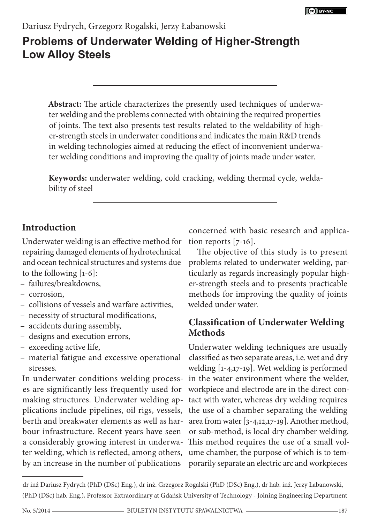# **Problems of Underwater Welding of Higher-Strength Low Alloy Steels**

**Abstract:** The article characterizes the presently used techniques of underwater welding and the problems connected with obtaining the required properties of joints. The text also presents test results related to the weldability of higher-strength steels in underwater conditions and indicates the main R&D trends in welding technologies aimed at reducing the effect of inconvenient underwater welding conditions and improving the quality of joints made under water.

**Keywords:** underwater welding, cold cracking, welding thermal cycle, weldability of steel

## **Introduction**

Underwater welding is an effective method for repairing damaged elements of hydrotechnical and ocean technical structures and systems due to the following [1-6]:

- failures/breakdowns,
- corrosion,
- collisions of vessels and warfare activities,
- necessity of structural modifications,
- accidents during assembly,
- designs and execution errors,
- exceeding active life,
- material fatigue and excessive operational stresses.

In underwater conditions welding processes are significantly less frequently used for making structures. Underwater welding applications include pipelines, oil rigs, vessels, berth and breakwater elements as well as harbour infrastructure. Recent years have seen ter welding, which is reflected, among others, by an increase in the number of publications

concerned with basic research and application reports [7-16].

The objective of this study is to present problems related to underwater welding, particularly as regards increasingly popular higher-strength steels and to presents practicable methods for improving the quality of joints welded under water.

## **Classification of Underwater Welding Methods**

a considerably growing interest in underwa-This method requires the use of a small vol-Underwater welding techniques are usually classified as two separate areas, i.e. wet and dry welding [1-4,17-19]. Wet welding is performed in the water environment where the welder, workpiece and electrode are in the direct contact with water, whereas dry welding requires the use of a chamber separating the welding area from water [3-4,12,17-19]. Another method, or sub-method, is local dry chamber welding. ume chamber, the purpose of which is to temporarily separate an electric arc and workpieces

dr inż Dariusz Fydrych (PhD (DSc) Eng.), dr inż. Grzegorz Rogalski (PhD (DSc) Eng.), dr hab. inż. Jerzy Łabanowski, (PhD (DSc) hab. Eng.), Professor Extraordinary at Gdańsk University of Technology - Joining Engineering Department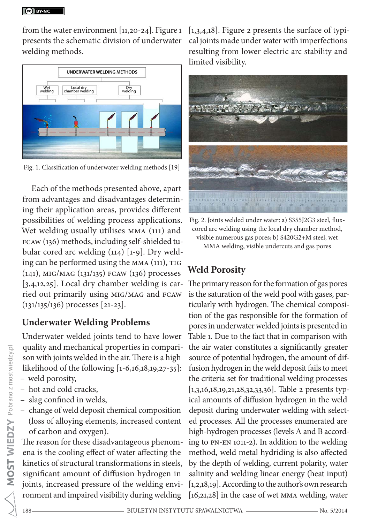from the water environment [11,20-24]. Figure 1 presents the schematic division of underwater welding methods.



Fig. 1. Classification of underwater welding methods [19]

Each of the methods presented above, apart from advantages and disadvantages determining their application areas, provides different possibilities of welding process applications. Wet welding usually utilises MMA (111) and FCAW (136) methods, including self-shielded tubular cored arc welding (114) [1-9]. Dry welding can be performed using the MMA (111), TIG (141), MIG/MAG (131/135) FCAW (136) processes [3,4,12,25]. Local dry chamber welding is carried out primarily using MIG/MAG and FCAW (131/135/136) processes [21-23].

### **Underwater Welding Problems**

Underwater welded joints tend to have lower quality and mechanical properties in comparison with joints welded in the air. There is a high likelihood of the following [1-6,16,18,19,27-35]: – weld porosity,

- hot and cold cracks,
- slag confined in welds,
- change of weld deposit chemical composition (loss of alloying elements, increased content of carbon and oxygen).

The reason for these disadvantageous phenomena is the cooling effect of water affecting the kinetics of structural transformations in steels, significant amount of diffusion hydrogen in joints, increased pressure of the welding environment and impaired visibility during welding

 $[1,3,4,18]$ . Figure 2 presents the surface of typical joints made under water with imperfections resulting from lower electric arc stability and limited visibility.



Fig. 2. Joints welded under water: a) S355J2G3 steel, fluxcored arc welding using the local dry chamber method, visible numerous gas pores; b) S420G2+M steel, wet MMA welding, visible undercuts and gas pores

## **Weld Porosity**

The primary reason for the formation of gas pores is the saturation of the weld pool with gases, particularly with hydrogen. The chemical composition of the gas responsible for the formation of pores in underwater welded joints is presented in Table 1. Due to the fact that in comparison with the air water constitutes a significantly greater source of potential hydrogen, the amount of diffusion hydrogen in the weld deposit fails to meet the criteria set for traditional welding processes [1,3,16,18,19,21,28,32,33,36]. Table 2 presents typical amounts of diffusion hydrogen in the weld deposit during underwater welding with selected processes. All the processes enumerated are high-hydrogen processes (levels A and B according to PN-EN 1011-2). In addition to the welding method, weld metal hydriding is also affected by the depth of welding, current polarity, water salinity and welding linear energy (heat input) [1,2,18,19]. According to the author's own research [16,21,28] in the case of wet MMA welding, water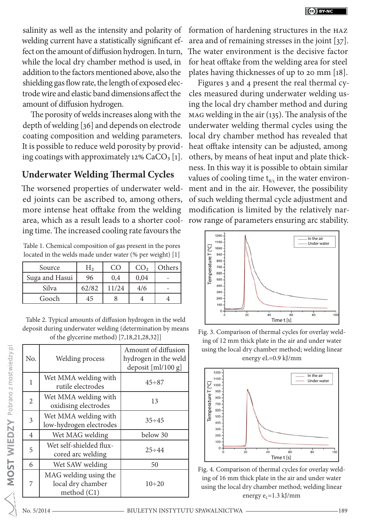salinity as well as the intensity and polarity of welding current have a statistically significant effect on the amount of diffusion hydrogen. In turn, while the local dry chamber method is used, in addition to the factors mentioned above, also the shielding gas flow rate, the length of exposed electrode wire and elastic band dimensions affect the amount of diffusion hydrogen.

The porosity of welds increases along with the depth of welding [36] and depends on electrode coating composition and welding parameters. It is possible to reduce weld porosity by providing coatings with approximately 12%  $CaCO<sub>3</sub>$  [1].

### **Underwater Welding Thermal Cycles**

The worsened properties of underwater welded joints can be ascribed to, among others, more intense heat offtake from the welding area, which as a result leads to a shorter cooling time. The increased cooling rate favours the

Table 1. Chemical composition of gas present in the pores located in the welds made under water (% per weight) [1]

| Source         | hر.   | CC    | CO <sub>2</sub> | Others |
|----------------|-------|-------|-----------------|--------|
| Suga and Hasui | 96    | 0,4   | 0,04            |        |
| Silva          | 62/82 | 11/24 | 4/6             |        |
| Gooch          | 45    |       |                 |        |

Table 2. Typical amounts of diffusion hydrogen in the weld deposit during underwater welding (determination by means of the glycerine method) [7,18,21,28,32]]

| No.            | <b>Welding process</b>                                      | Amount of diffusion<br>hydrogen in the weld<br>deposit [ml/100 g] |
|----------------|-------------------------------------------------------------|-------------------------------------------------------------------|
| $\mathbf{1}$   | Wet MMA welding with<br>rutile electrodes                   | $45 \div 87$                                                      |
| $\overline{2}$ | Wet MMA welding with<br>oxidising electrodes                | 13                                                                |
| 3              | Wet MMA welding with<br>low-hydrogen electrodes             | $35 \div 45$                                                      |
| 4              | Wet MAG welding                                             | below 30                                                          |
| 5              | Wet self-shielded flux-<br>cored arc welding                | $25 \div 44$                                                      |
| 6              | Wet SAW welding                                             | 50                                                                |
| 7              | MAG welding using the<br>local dry chamber<br>method $(C1)$ | $10 \div 20$                                                      |

formation of hardening structures in the HAZ area and of remaining stresses in the joint [37]. The water environment is the decisive factor for heat offtake from the welding area for steel plates having thicknesses of up to 20 mm [18].

Figures 3 and 4 present the real thermal cycles measured during underwater welding using the local dry chamber method and during MAG welding in the air (135). The analysis of the underwater welding thermal cycles using the local dry chamber method has revealed that heat offtake intensity can be adjusted, among others, by means of heat input and plate thickness. In this way it is possible to obtain similar values of cooling time  $t_{8/5}$  in the water environment and in the air. However, the possibility of such welding thermal cycle adjustment and modification is limited by the relatively narrow range of parameters ensuring arc stability.



Fig. 3. Comparison of thermal cycles for overlay welding of 12 mm thick plate in the air and under water using the local dry chamber method; welding linear energy eL=0.9 kJ/mm



Fig. 4. Comparison of thermal cycles for overlay welding of 16 mm thick plate in the air and under water using the local dry chamber method; welding linear energy  $e_1$ =1.3 kJ/mm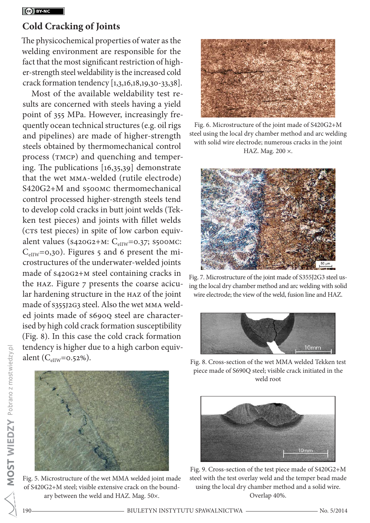### **Cold Cracking of Joints**

The physicochemical properties of water as the welding environment are responsible for the fact that the most significant restriction of higher-strength steel weldability is the increased cold crack formation tendency [1,3,16,18,19,30-33,38].

Most of the available weldability test results are concerned with steels having a yield point of 355 MPa. However, increasingly frequently ocean technical structures (e.g. oil rigs and pipelines) are made of higher-strength steels obtained by thermomechanical control process (TMCP) and quenching and tempering. The publications [16,35,39] demonstrate that the wet MMA-welded (rutile electrode) S420G2+M and s500MC thermomechanical control processed higher-strength steels tend to develop cold cracks in butt joint welds (Tekken test pieces) and joints with fillet welds (CTS test pieces) in spite of low carbon equivalent values ( $s_{420G2+M}$ : C<sub>eIIW</sub>=0.37; S500MC: CeIIW=0,30). Figures 5 and 6 present the microstructures of the underwater-welded joints made of S420G2+M steel containing cracks in the HAZ. Figure 7 presents the coarse acicular hardening structure in the HAZ of the joint made of S355J2G3 steel. Also the wet MMA welded joints made of S690Q steel are characterised by high cold crack formation susceptibility (Fig. 8). In this case the cold crack formation tendency is higher due to a high carbon equivalent ( $C_{\text{effW}}$ =0.52%).



Fig. 5. Microstructure of the wet MMA welded joint made of S420G2+M steel; visible extensive crack on the boundary between the weld and HAZ. Mag. 50×.



Fig. 6. Microstructure of the joint made of S420G2+M steel using the local dry chamber method and arc welding with solid wire electrode; numerous cracks in the joint HAZ. Mag. 200 ×.



Fig. 7. Microstructure of the joint made of S355J2G3 steel using the local dry chamber method and arc welding with solid wire electrode; the view of the weld, fusion line and HAZ.



Fig. 8. Cross-section of the wet MMA welded Tekken test piece made of S690Q steel; visible crack initiated in the weld root



Fig. 9. Cross-section of the test piece made of S420G2+M steel with the test overlay weld and the temper bead made using the local dry chamber method and a solid wire. Overlap 40%.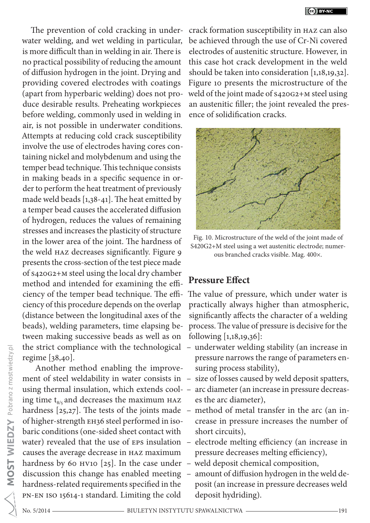The prevention of cold cracking in underwater welding, and wet welding in particular, is more difficult than in welding in air. There is no practical possibility of reducing the amount of diffusion hydrogen in the joint. Drying and providing covered electrodes with coatings (apart from hyperbaric welding) does not produce desirable results. Preheating workpieces before welding, commonly used in welding in air, is not possible in underwater conditions. Attempts at reducing cold crack susceptibility involve the use of electrodes having cores containing nickel and molybdenum and using the temper bead technique. This technique consists in making beads in a specific sequence in order to perform the heat treatment of previously made weld beads [1,38-41]. The heat emitted by a temper bead causes the accelerated diffusion of hydrogen, reduces the values of remaining stresses and increases the plasticity of structure in the lower area of the joint. The hardness of the weld HAZ decreases significantly. Figure 9 presents the cross-section of the test piece made of S420G2+M steel using the local dry chamber method and intended for examining the efficiency of the temper bead technique. The efficiency of this procedure depends on the overlap (distance between the longitudinal axes of the beads), welding parameters, time elapsing between making successive beads as well as on the strict compliance with the technological regime [38,40].

 Another method enabling the improvement of steel weldability in water consists in using thermal insulation, which extends cooling time  $t_{8/5}$  and decreases the maximum HAZ hardness  $[25,27]$ . The tests of the joints made  $$ of higher-strength EH36 steel performed in isobaric conditions (one-sided sheet contact with water) revealed that the use of  $EPS$  insulation  $-\frac{1}{2}$ causes the average decrease in HAZ maximum hardness by 60 HV10 [25]. In the case under  $$ discussion this change has enabled meeting hardness-related requirements specified in the PN-EN ISO 15614-1 standard. Limiting the cold

crack formation susceptibility in HAZ can also be achieved through the use of Cr-Ni covered electrodes of austenitic structure. However, in this case hot crack development in the weld should be taken into consideration [1,18,19,32]. Figure 10 presents the microstructure of the weld of the joint made of S420G2+M steel using an austenitic filler; the joint revealed the presence of solidification cracks.



Fig. 10. Microstructure of the weld of the joint made of S420G2+M steel using a wet austenitic electrode; numerous branched cracks visible. Mag. 400×.

## **Pressure Effect**

The value of pressure, which under water is practically always higher than atmospheric, significantly affects the character of a welding process. The value of pressure is decisive for the following [1,18,19,36]:

- underwater welding stability (an increase in pressure narrows the range of parameters ensuring process stability),
- size of losses caused by weld deposit spatters,
- arc diameter (an increase in pressure decreases the arc diameter),
- method of metal transfer in the arc (an increase in pressure increases the number of short circuits),
- electrode melting efficiency (an increase in pressure decreases melting efficiency),
- weld deposit chemical composition,
- amount of diffusion hydrogen in the weld deposit (an increase in pressure decreases weld deposit hydriding).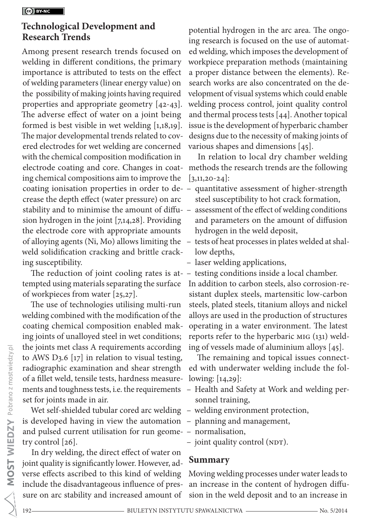### **Technological Development and Research Trends**

Among present research trends focused on welding in different conditions, the primary importance is attributed to tests on the effect of welding parameters (linear energy value) on the possibility of making joints having required properties and appropriate geometry [42-43]. The adverse effect of water on a joint being formed is best visible in wet welding [1,18,19]. The major developmental trends related to covered electrodes for wet welding are concerned with the chemical composition modification in electrode coating and core. Changes in coating chemical compositions aim to improve the coating ionisation properties in order to decrease the depth effect (water pressure) on arc stability and to minimise the amount of diffusion hydrogen in the joint [7,14,28]. Providing the electrode core with appropriate amounts of alloying agents (Ni, Mo) allows limiting the weld solidification cracking and brittle cracking susceptibility.

tempted using materials separating the surface of workpieces from water [25,27].

The use of technologies utilising multi-run welding combined with the modification of the coating chemical composition enabled making joints of unalloyed steel in wet conditions; the joints met class A requirements according to AWS D3.6 [17] in relation to visual testing, radiographic examination and shear strength of a fillet weld, tensile tests, hardness measurements and toughness tests, i.e. the requirements set for joints made in air.

Wet self-shielded tubular cored arc welding - welding environment protection, is developed having in view the automation – planning and management, and pulsed current utilisation for run geome-– normalisation, try control [26].

In dry welding, the direct effect of water on joint quality is significantly lower. However, adverse effects ascribed to this kind of welding include the disadvantageous influence of pressure on arc stability and increased amount of

potential hydrogen in the arc area. The ongoing research is focused on the use of automated welding, which imposes the development of workpiece preparation methods (maintaining a proper distance between the elements). Research works are also concentrated on the development of visual systems which could enable welding process control, joint quality control and thermal process tests [44]. Another topical issue is the development of hyperbaric chamber designs due to the necessity of making joints of various shapes and dimensions [45].

In relation to local dry chamber welding methods the research trends are the following  $[3,11,20-24]$ :

- quantitative assessment of higher-strength steel susceptibility to hot crack formation,
- assessment of the effect of welding conditions and parameters on the amount of diffusion hydrogen in the weld deposit,
- tests of heat processes in plates welded at shallow depths,
- laser welding applications,
- The reduction of joint cooling rates is at-– testing conditions inside a local chamber. In addition to carbon steels, also corrosion-resistant duplex steels, martensitic low-carbon steels, plated steels, titanium alloys and nickel alloys are used in the production of structures operating in a water environment. The latest reports refer to the hyperbaric MIG (131) welding of vessels made of aluminium alloys [45].

The remaining and topical issues connected with underwater welding include the following: [14,29]:

- Health and Safety at Work and welding personnel training,
- 
- 
- 
- joint quality control (NDT).

### **Summary**

Moving welding processes under water leads to an increase in the content of hydrogen diffusion in the weld deposit and to an increase in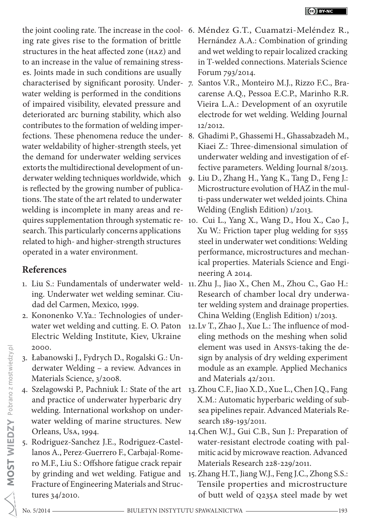ing rate gives rise to the formation of brittle structures in the heat affected zone (HAZ) and to an increase in the value of remaining stresses. Joints made in such conditions are usually characterised by significant porosity. Under-7. Santos V.R., Monteiro M.J., Rizzo F.C., Brawater welding is performed in the conditions of impaired visibility, elevated pressure and deteriorated arc burning stability, which also contributes to the formation of welding imperwater weldability of higher-strength steels, yet the demand for underwater welding services extorts the multidirectional development of underwater welding techniques worldwide, which is reflected by the growing number of publications. The state of the art related to underwater welding is incomplete in many areas and research. This particularly concerns applications related to high- and higher-strength structures operated in a water environment.

## **References**

- 1. Liu S.: Fundamentals of underwater weld-11. Zhu J., Jiao X., Chen M., Zhou C., Gao H.: ing. Underwater wet welding seminar. Ciudad del Carmen, Mexico, 1999.
- 2. Kononenko V.Ya.: Technologies of underwater wet welding and cutting. E. O. Paton Electric Welding Institute, Kiev, Ukraine 2000.
- 3. Łabanowski J., Fydrych D., Rogalski G.: Underwater Welding – a review. Advances in Materials Science, 3/2008.
- 4. Szelagowski P., Pachniuk I.: State of the art and practice of underwater hyperbaric dry welding. International workshop on underwater welding of marine structures. New Orleans, USA, 1994.
- 5. Rodriguez-Sanchez J.E., Rodriguez-Castellanos A., Perez-Guerrero F., Carbajal-Romero M.F., Liu S.: Offshore fatigue crack repair by grinding and wet welding. Fatigue and Fracture of Engineering Materials and Structures 34/2010.
- the joint cooling rate. The increase in the cool-6. Méndez G.T., Cuamatzi-Meléndez R., Hernández A.A.: Combination of grinding and wet welding to repair localized cracking in T-welded connections. Materials Science Forum 793/2014.
	- carense A.Q., Pessoa E.C.P., Marinho R.R. Vieira L.A.: Development of an oxyrutile electrode for wet welding. Welding Journal 12/2012.
- fections. These phenomena reduce the under-8. Ghadimi P., Ghassemi H., Ghassabzadeh M., Kiaei Z.: Three-dimensional simulation of underwater welding and investigation of effective parameters. Welding Journal 8/2013.
	- 9. Liu D., Zhang H., Yang K., Tang D., Feng J.: Microstructure evolution of HAZ in the multi-pass underwater wet welded joints. China Welding (English Edition) 1/2013.
- quires supplementation through systematic re-10. Cui L., Yang X., Wang D., Hou X., Cao J., Xu W.: Friction taper plug welding for S355 steel in underwater wet conditions: Welding performance, microstructures and mechanical properties. Materials Science and Engineering A 2014.
	- Research of chamber local dry underwater welding system and drainage properties. China Welding (English Edition) 1/2013.
	- 12.Lv T., Zhao J., Xue L.: The influence of modeling methods on the meshing when solid element was used in ANSYS-taking the design by analysis of dry welding experiment module as an example. Applied Mechanics and Materials 42/2011.
	- 13.Zhou C.F., Jiao X.D., Xue L., Chen J.Q., Fang X.M.: Automatic hyperbaric welding of subsea pipelines repair. Advanced Materials Research 189-193/2011.
	- 14.Chen W.J., Gui C.B., Sun J.: Preparation of water-resistant electrode coating with palmitic acid by microwave reaction. Advanced Materials Research 228-229/2011.
	- 15.Zhang H.T., Jiang W.J., Feng J.C., Zhong S.S.: Tensile properties and microstructure of butt weld of Q235A steel made by wet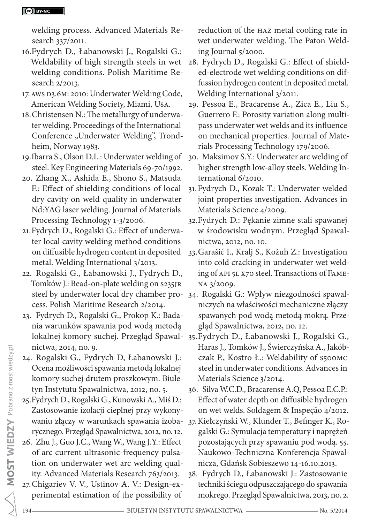#### CC BY-NC

welding process. Advanced Materials Research 337/2011.

- 16.Fydrych D., Łabanowski J., Rogalski G.: Weldability of high strength steels in wet welding conditions. Polish Maritime Research 2/2013.
- 17.AWS D3.6M: 2010: Underwater Welding Code, American Welding Society, Miami, USA.
- 18.Christensen N.: The metallurgy of underwater welding. Proceedings of the International Conference "Underwater Welding", Trondheim, Norway 1983.
- 19.Ibarra S., Olson D.L.: Underwater welding of steel. Key Engineering Materials 69-70/1992.
- 20. Zhang X., Ashida E., Shono S., Matsuda F.: Effect of shielding conditions of local dry cavity on weld quality in underwater Nd:YAG laser welding. Journal of Materials Processing Technology 1-3/2006.
- 21.Fydrych D., Rogalski G.: Effect of underwater local cavity welding method conditions on diffusible hydrogen content in deposited metal. Welding International 3/2013.
- 22. Rogalski G., Łabanowski J., Fydrych D., Tomków J.: Bead-on-plate welding on S235JR cess. Polish Maritime Research 2/2014.
- 23. Fydrych D., Rogalski G., Prokop K.: Badania warunków spawania pod wodą metodą nictwa, 2014, no. 9.
- 24. Rogalski G., Fydrych D, Łabanowski J.: Ocena możliwości spawania metodą lokalnej komory suchej drutem proszkowym. Biuletyn Instytutu Spawalnictwa, 2012, no. 5.
- 25.Fydrych D., Rogalski G., Kunowski A., Miś D.: Zastosowanie izolacji cieplnej przy wykonywaniu złączy w warunkach spawania izobarycznego. Przegląd Spawalnictwa, 2012, no. 12.
- 26. Zhu J., Guo J.C., Wang W., Wang J.Y.: Effect of arc current ultrasonic-frequency pulsation on underwater wet arc welding quality. Advanced Materials Research 763/2013.
- 27.Chigariev V. V., Ustinov A. V.: Design-experimental estimation of the possibility of

reduction of the HAZ metal cooling rate in wet underwater welding. The Paton Welding Journal 5/2000.

- 28. Fydrych D., Rogalski G.: Effect of shielded-electrode wet welding conditions on diffussion hydrogen content in deposited metal. Welding International 3/2011.
- 29. Pessoa E., Bracarense A., Zica E., Liu S., Guerrero F.: Porosity variation along multipass underwater wet welds and its influence on mechanical properties. Journal of Materials Processing Technology 179/2006.
- 30. Maksimov S.Y.: Underwater arc welding of higher strength low-alloy steels. Welding International 6/2010.
- 31.Fydrych D., Kozak T.: Underwater welded joint properties investigation. Advances in Materials Science 4/2009.
- 32.Fydrych D.: Pękanie zimne stali spawanej w środowisku wodnym. Przegląd Spawalnictwa, 2012, no. 10.
- 33.Garašić I., Kralj S., Kožuh Z.: Investigation into cold cracking in underwater wet welding of API 5L X70 steel. Transactions of FAME-NA 3/2009.
- steel by underwater local dry chamber pro-34. Rogalski G.: Wpływ niezgodności spawalniczych na właściwości mechaniczne złączy spawanych pod wodą metodą mokrą. Przegląd Spawalnictwa, 2012, no. 12.
- lokalnej komory suchej. Przegląd Spawal-35.Fydrych D., Łabanowski J., Rogalski G., Haras J., Tomków J., Świerczyńska A., Jakóbczak P., Kostro Ł.: Weldability of S500MC steel in underwater conditions. Advances in Materials Science 3/2014.
	- 36. Silva W.C.D., Bracarense A.Q, Pessoa E.C.P.: Effect of water depth on diffusible hydrogen on wet welds. Soldagem & Inspeção 4/2012.
	- 37.Kiełczyński W., Klunder T., Befinger K., Rogalski G.: Symulacja temperatury i naprężeń pozostających przy spawaniu pod wodą. 55. Naukowo-Techniczna Konferencja Spawalnicza, Gdańsk Sobieszewo 14-16.10.2013.
	- 38. Fydrych D., Łabanowski J.: Zastosowanie techniki ściegu odpuszczającego do spawania mokrego. Przegląd Spawalnictwa, 2013, no. 2.